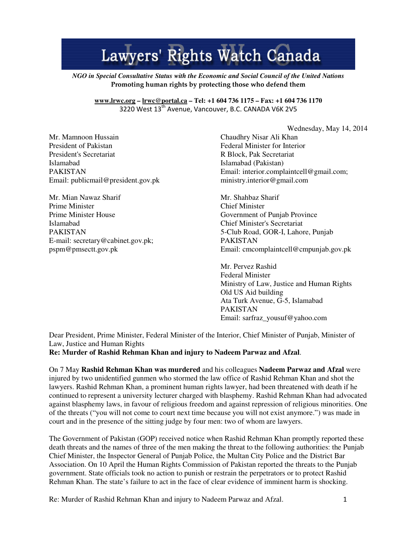## Lawyers' Rights Watch Canada

*NGO in Special Consultative Status with the Economic and Social Council of the United Nations*  Promoting human rights by protecting those who defend them

## **www.lrwc.org – lrwc@portal.ca – Tel: +1 604 736 1175 – Fax: +1 604 736 1170**  3220 West 13<sup>th</sup> Avenue, Vancouver, B.C. CANADA V6K 2V5

Mr. Mamnoon Hussain President of Pakistan President's Secretariat Islamabad PAKISTAN Email: publicmail@president.gov.pk

Mr. Mian Nawaz Sharif Prime Minister Prime Minister House Islamabad PAKISTAN E-mail: secretary@cabinet.gov.pk; pspm@pmsectt.gov.pk

Wednesday, May 14, 2014

Chaudhry Nisar Ali Khan Federal Minister for Interior R Block, Pak Secretariat Islamabad (Pakistan) Email: interior.complaintcell@gmail.com; ministry.interior@gmail.com

Mr. Shahbaz Sharif Chief Minister Government of Punjab Province Chief Minister's Secretariat 5-Club Road, GOR-I, Lahore, Punjab PAKISTAN Email: cmcomplaintcell@cmpunjab.gov.pk

Mr. Pervez Rashid Federal Minister Ministry of Law, Justice and Human Rights Old US Aid building Ata Turk Avenue, G-5, Islamabad PAKISTAN Email: sarfraz\_yousuf@yahoo.com

Dear President, Prime Minister, Federal Minister of the Interior, Chief Minister of Punjab, Minister of Law, Justice and Human Rights

**Re: Murder of Rashid Rehman Khan and injury to Nadeem Parwaz and Afzal**.

On 7 May **Rashid Rehman Khan was murdered** and his colleagues **Nadeem Parwaz and Afzal** were injured by two unidentified gunmen who stormed the law office of Rashid Rehman Khan and shot the lawyers. Rashid Rehman Khan, a prominent human rights lawyer, had been threatened with death if he continued to represent a university lecturer charged with blasphemy. Rashid Rehman Khan had advocated against blasphemy laws, in favour of religious freedom and against repression of religious minorities. One of the threats ("you will not come to court next time because you will not exist anymore.") was made in court and in the presence of the sitting judge by four men: two of whom are lawyers.

The Government of Pakistan (GOP) received notice when Rashid Rehman Khan promptly reported these death threats and the names of three of the men making the threat to the following authorities: the Punjab Chief Minister, the Inspector General of Punjab Police, the Multan City Police and the District Bar Association. On 10 April the Human Rights Commission of Pakistan reported the threats to the Punjab government. State officials took no action to punish or restrain the perpetrators or to protect Rashid Rehman Khan. The state's failure to act in the face of clear evidence of imminent harm is shocking.

Re: Murder of Rashid Rehman Khan and injury to Nadeem Parwaz and Afzal. 1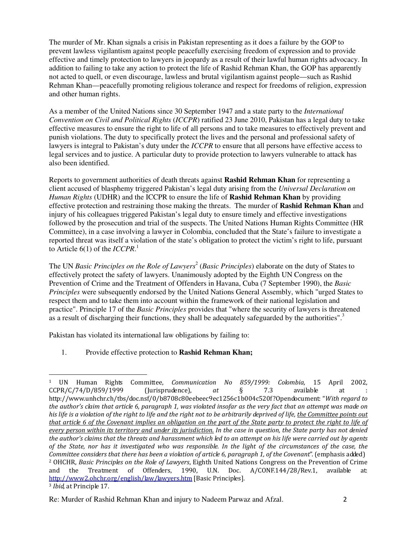The murder of Mr. Khan signals a crisis in Pakistan representing as it does a failure by the GOP to prevent lawless vigilantism against people peacefully exercising freedom of expression and to provide effective and timely protection to lawyers in jeopardy as a result of their lawful human rights advocacy. In addition to failing to take any action to protect the life of Rashid Rehman Khan, the GOP has apparently not acted to quell, or even discourage, lawless and brutal vigilantism against people—such as Rashid Rehman Khan—peacefully promoting religious tolerance and respect for freedoms of religion, expression and other human rights.

As a member of the United Nations since 30 September 1947 and a state party to the *International Convention on Civil and Political Rights* (*ICCPR*) ratified 23 June 2010, Pakistan has a legal duty to take effective measures to ensure the right to life of all persons and to take measures to effectively prevent and punish violations. The duty to specifically protect the lives and the personal and professional safety of lawyers is integral to Pakistan's duty under the *ICCPR* to ensure that all persons have effective access to legal services and to justice. A particular duty to provide protection to lawyers vulnerable to attack has also been identified.

Reports to government authorities of death threats against **Rashid Rehman Khan** for representing a client accused of blasphemy triggered Pakistan's legal duty arising from the *Universal Declaration on Human Rights* (UDHR) and the ICCPR to ensure the life of **Rashid Rehman Khan** by providing effective protection and restraining those making the threats. The murder of **Rashid Rehman Khan** and injury of his colleagues triggered Pakistan's legal duty to ensure timely and effective investigations followed by the prosecution and trial of the suspects. The United Nations Human Rights Committee (HR Committee), in a case involving a lawyer in Colombia, concluded that the State's failure to investigate a reported threat was itself a violation of the state's obligation to protect the victim's right to life, pursuant to Article 6(1) of the *ICCPR*. 1

The UN *Basic Principles on the Role of Lawyers<sup>2</sup> (Basic Principles)* elaborate on the duty of States to effectively protect the safety of lawyers. Unanimously adopted by the Eighth UN Congress on the Prevention of Crime and the Treatment of Offenders in Havana, Cuba (7 September 1990), the *Basic Principles* were subsequently endorsed by the United Nations General Assembly, which "urged States to respect them and to take them into account within the framework of their national legislation and practice". Principle 17 of the *Basic Principles* provides that "where the security of lawyers is threatened as a result of discharging their functions, they shall be adequately safeguarded by the authorities".<sup>3</sup>

Pakistan has violated its international law obligations by failing to:

1. Provide effective protection to **Rashid Rehman Khan;**

l

<sup>1</sup> UN Human Rights Committee, Communication No 859/1999: Colombia, 15 April 2002,  $CCPR/C/74/D/859/1999$  (Jurisprudence), at  $\S$  7.3 available at http://www.unhchr.ch/tbs/doc.nsf/0/b8708c80eebeec9ec1256c1b004c520f?Opendocument: "With regard to the author's claim that article 6, paragraph 1, was violated insofar as the very fact that an attempt was made on his life is a violation of the right to life and the right not to be arbitrarily deprived of life, the Committee points out that article 6 of the Covenant implies an obligation on the part of the State party to protect the right to life of every person within its territory and under its jurisdiction. In the case in question, the State party has not denied the author's claims that the threats and harassment which led to an attempt on his life were carried out by agents of the State, nor has it investigated who was responsible. In the light of the circumstances of the case, the Committee considers that there has been a violation of article 6, paragraph 1, of the Covenant". (emphasis added) <sup>2</sup> OHCHR, Basic Principles on the Role of Lawyers, Eighth United Nations Congress on the Prevention of Crime and the Treatment of Offenders, 1990, U.N. Doc. A/CONF.144/28/Rev.1, available at: http://www2.ohchr.org/english/law/lawyers.htm [Basic Principles].

<sup>3</sup> Ibid, at Principle 17.

Re: Murder of Rashid Rehman Khan and injury to Nadeem Parwaz and Afzal. 2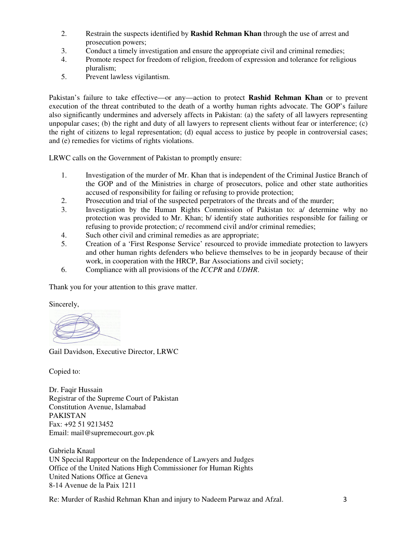- 2. Restrain the suspects identified by **Rashid Rehman Khan** through the use of arrest and prosecution powers;
- 3. Conduct a timely investigation and ensure the appropriate civil and criminal remedies;
- 4. Promote respect for freedom of religion, freedom of expression and tolerance for religious pluralism;
- 5. Prevent lawless vigilantism.

Pakistan's failure to take effective—or any—action to protect **Rashid Rehman Khan** or to prevent execution of the threat contributed to the death of a worthy human rights advocate. The GOP's failure also significantly undermines and adversely affects in Pakistan: (a) the safety of all lawyers representing unpopular cases; (b) the right and duty of all lawyers to represent clients without fear or interference; (c) the right of citizens to legal representation; (d) equal access to justice by people in controversial cases; and (e) remedies for victims of rights violations.

LRWC calls on the Government of Pakistan to promptly ensure:

- 1. Investigation of the murder of Mr. Khan that is independent of the Criminal Justice Branch of the GOP and of the Ministries in charge of prosecutors, police and other state authorities accused of responsibility for failing or refusing to provide protection;
- 2. Prosecution and trial of the suspected perpetrators of the threats and of the murder;
- 3. Investigation by the Human Rights Commission of Pakistan to: a/ determine why no protection was provided to Mr. Khan; b/ identify state authorities responsible for failing or refusing to provide protection; c/ recommend civil and/or criminal remedies;
- 4. Such other civil and criminal remedies as are appropriate;
- 5. Creation of a 'First Response Service' resourced to provide immediate protection to lawyers and other human rights defenders who believe themselves to be in jeopardy because of their work, in cooperation with the HRCP, Bar Associations and civil society;
- 6. Compliance with all provisions of the *ICCPR* and *UDHR*.

Thank you for your attention to this grave matter.

Sincerely,

Gail Davidson, Executive Director, LRWC

Copied to:

Dr. Faqir Hussain Registrar of the Supreme Court of Pakistan Constitution Avenue, Islamabad PAKISTAN Fax: +92 51 9213452 Email: mail@supremecourt.gov.pk

Gabriela Knaul UN Special Rapporteur on the Independence of Lawyers and Judges Office of the United Nations High Commissioner for Human Rights United Nations Office at Geneva 8-14 Avenue de la Paix 1211

Re: Murder of Rashid Rehman Khan and injury to Nadeem Parwaz and Afzal. 3